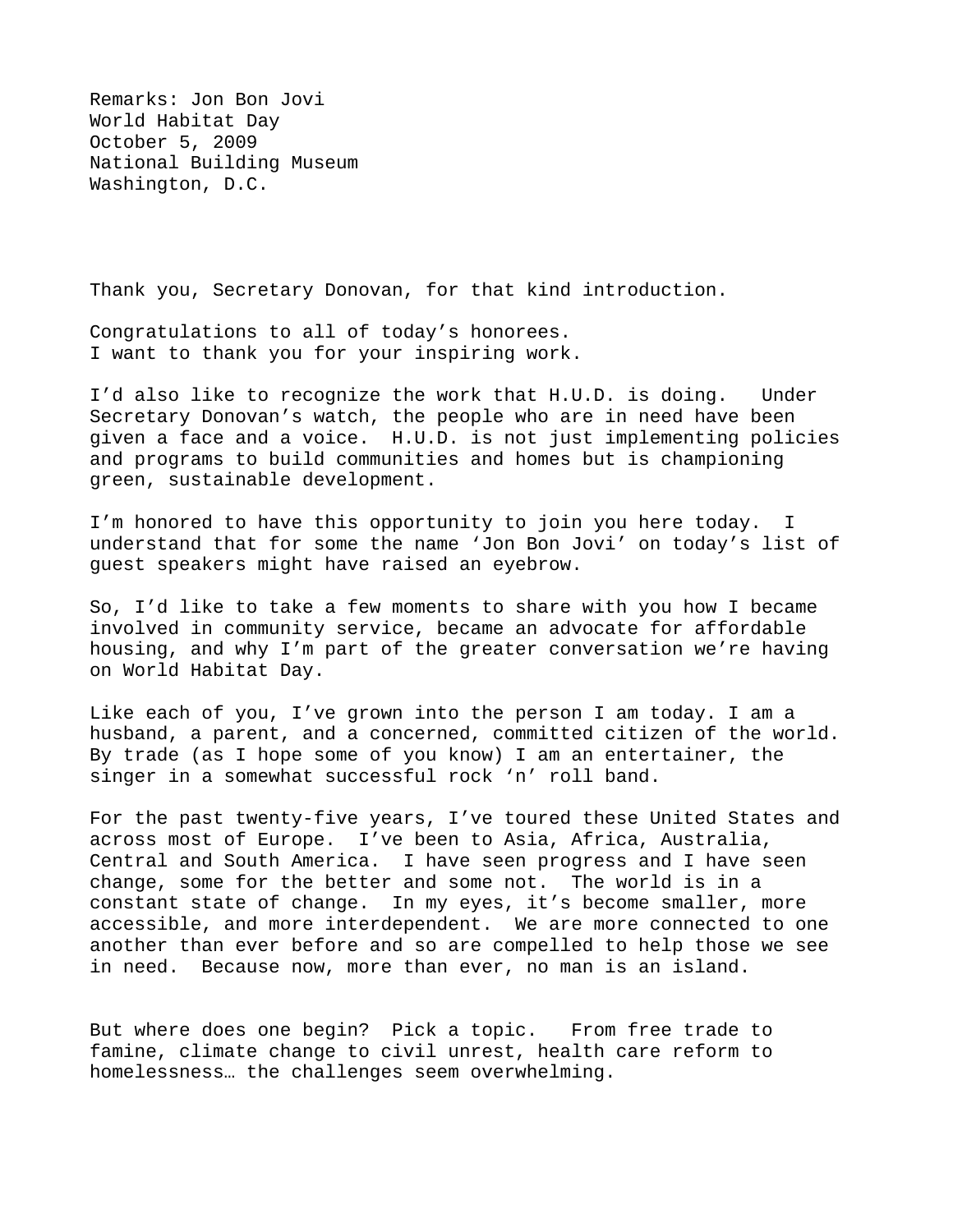Remarks: Jon Bon Jovi World Habitat Day October 5, 2009 National Building Museum Washington, D.C.

Thank you, Secretary Donovan, for that kind introduction.

Congratulations to all of today's honorees. I want to thank you for your inspiring work.

I'd also like to recognize the work that H.U.D. is doing. Under Secretary Donovan's watch, the people who are in need have been given a face and a voice. H.U.D. is not just implementing policies and programs to build communities and homes but is championing green, sustainable development.

I'm honored to have this opportunity to join you here today. I understand that for some the name 'Jon Bon Jovi' on today's list of guest speakers might have raised an eyebrow.

So, I'd like to take a few moments to share with you how I became involved in community service, became an advocate for affordable housing, and why I'm part of the greater conversation we're having on World Habitat Day.

Like each of you, I've grown into the person I am today. I am a husband, a parent, and a concerned, committed citizen of the world. By trade (as I hope some of you know) I am an entertainer, the singer in a somewhat successful rock 'n' roll band.

For the past twenty-five years, I've toured these United States and across most of Europe. I've been to Asia, Africa, Australia, Central and South America. I have seen progress and I have seen change, some for the better and some not. The world is in a constant state of change. In my eyes, it's become smaller, more accessible, and more interdependent. We are more connected to one another than ever before and so are compelled to help those we see in need. Because now, more than ever, no man is an island.

But where does one begin? Pick a topic. From free trade to famine, climate change to civil unrest, health care reform to homelessness… the challenges seem overwhelming.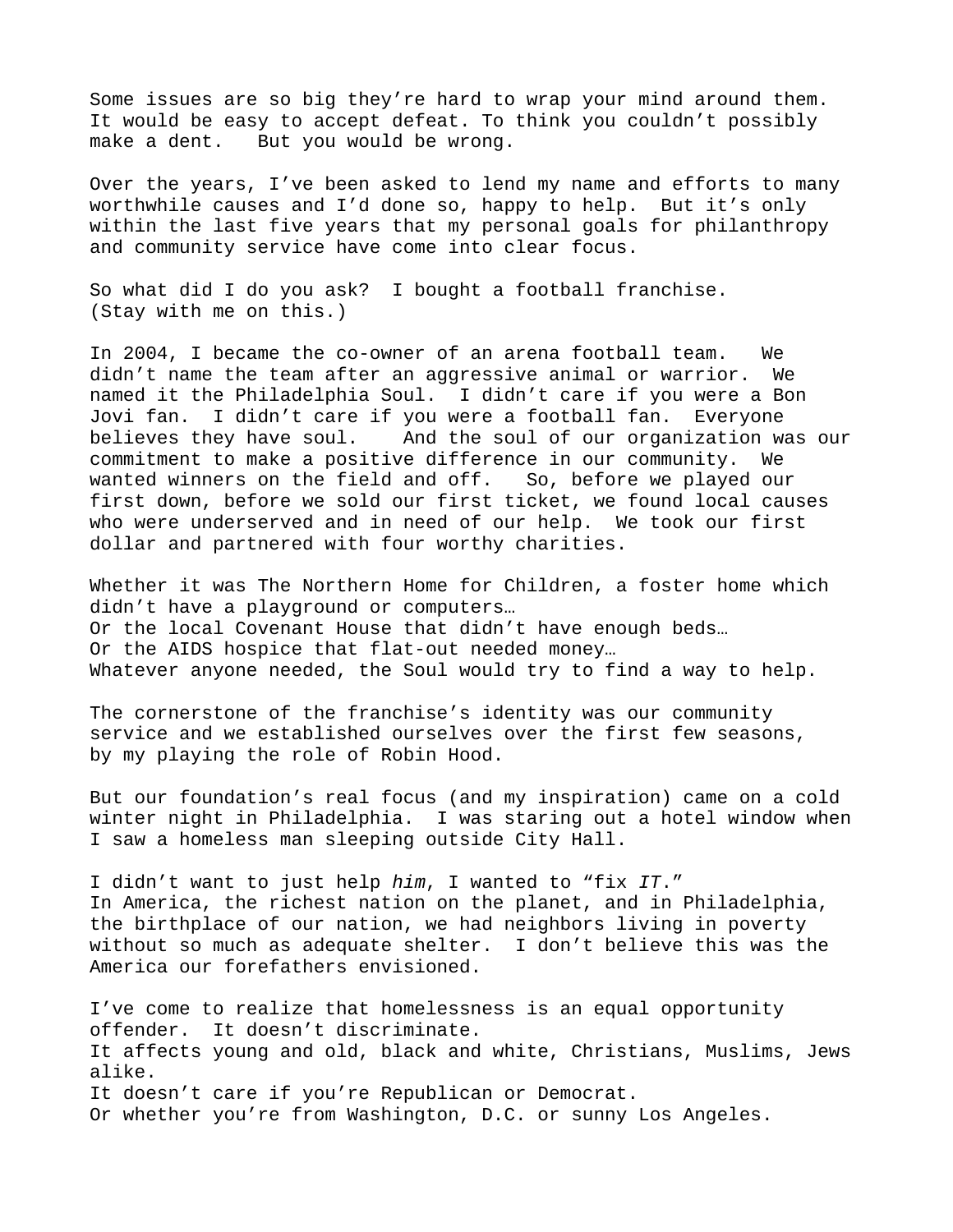Some issues are so big they're hard to wrap your mind around them. It would be easy to accept defeat. To think you couldn't possibly make a dent. But you would be wrong.

Over the years, I've been asked to lend my name and efforts to many worthwhile causes and I'd done so, happy to help. But it's only within the last five years that my personal goals for philanthropy and community service have come into clear focus.

So what did I do you ask? I bought a football franchise. (Stay with me on this.)

In 2004, I became the co-owner of an arena football team. We didn't name the team after an aggressive animal or warrior. We named it the Philadelphia Soul. I didn't care if you were a Bon Jovi fan. I didn't care if you were a football fan. Everyone believes they have soul. And the soul of our organization was our commitment to make a positive difference in our community. We wanted winners on the field and off. So, before we played our first down, before we sold our first ticket, we found local causes who were underserved and in need of our help. We took our first dollar and partnered with four worthy charities.

Whether it was The Northern Home for Children, a foster home which didn't have a playground or computers… Or the local Covenant House that didn't have enough beds… Or the AIDS hospice that flat-out needed money… Whatever anyone needed, the Soul would try to find a way to help.

The cornerstone of the franchise's identity was our community service and we established ourselves over the first few seasons, by my playing the role of Robin Hood.

But our foundation's real focus (and my inspiration) came on a cold winter night in Philadelphia. I was staring out a hotel window when I saw a homeless man sleeping outside City Hall.

I didn't want to just help *him*, I wanted to "fix *IT*." In America, the richest nation on the planet, and in Philadelphia, the birthplace of our nation, we had neighbors living in poverty without so much as adequate shelter. I don't believe this was the America our forefathers envisioned.

I've come to realize that homelessness is an equal opportunity offender. It doesn't discriminate. It affects young and old, black and white, Christians, Muslims, Jews alike. It doesn't care if you're Republican or Democrat. Or whether you're from Washington, D.C. or sunny Los Angeles.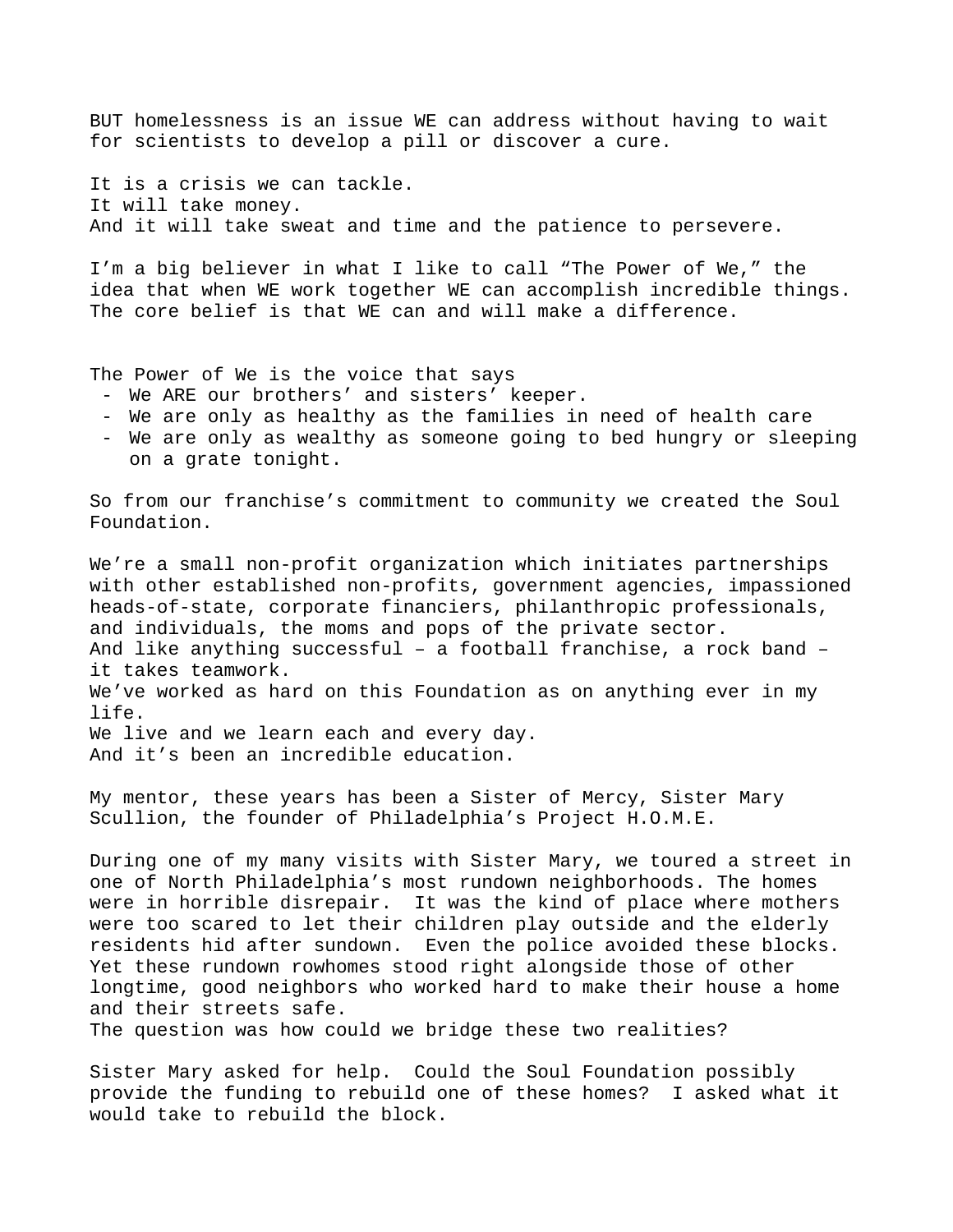BUT homelessness is an issue WE can address without having to wait for scientists to develop a pill or discover a cure.

It is a crisis we can tackle. It will take money. And it will take sweat and time and the patience to persevere.

I'm a big believer in what I like to call "The Power of We," the idea that when WE work together WE can accomplish incredible things. The core belief is that WE can and will make a difference.

The Power of We is the voice that says

- We ARE our brothers' and sisters' keeper.
- We are only as healthy as the families in need of health care
- We are only as wealthy as someone going to bed hungry or sleeping on a grate tonight.

So from our franchise's commitment to community we created the Soul Foundation.

We're a small non-profit organization which initiates partnerships with other established non-profits, government agencies, impassioned heads-of-state, corporate financiers, philanthropic professionals, and individuals, the moms and pops of the private sector. And like anything successful – a football franchise, a rock band – it takes teamwork. We've worked as hard on this Foundation as on anything ever in my life. We live and we learn each and every day. And it's been an incredible education.

My mentor, these years has been a Sister of Mercy, Sister Mary Scullion, the founder of Philadelphia's Project H.O.M.E.

During one of my many visits with Sister Mary, we toured a street in one of North Philadelphia's most rundown neighborhoods. The homes were in horrible disrepair. It was the kind of place where mothers were too scared to let their children play outside and the elderly residents hid after sundown. Even the police avoided these blocks. Yet these rundown rowhomes stood right alongside those of other longtime, good neighbors who worked hard to make their house a home and their streets safe.

The question was how could we bridge these two realities?

Sister Mary asked for help. Could the Soul Foundation possibly provide the funding to rebuild one of these homes? I asked what it would take to rebuild the block.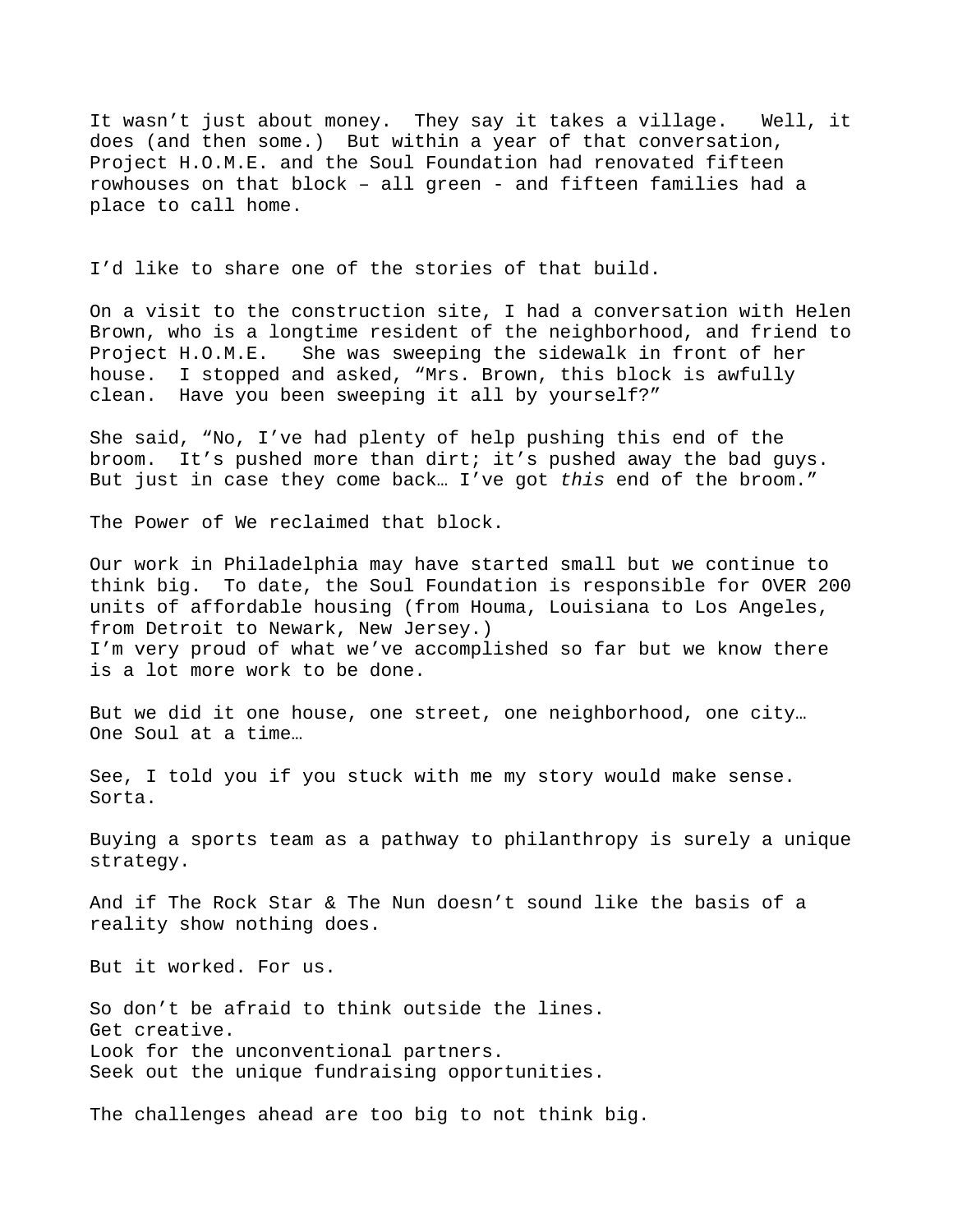It wasn't just about money. They say it takes a village. Well, it does (and then some.) But within a year of that conversation, Project H.O.M.E. and the Soul Foundation had renovated fifteen rowhouses on that block – all green - and fifteen families had a place to call home.

I'd like to share one of the stories of that build.

On a visit to the construction site, I had a conversation with Helen Brown, who is a longtime resident of the neighborhood, and friend to Project H.O.M.E. She was sweeping the sidewalk in front of her house. I stopped and asked, "Mrs. Brown, this block is awfully clean. Have you been sweeping it all by yourself?"

She said, "No, I've had plenty of help pushing this end of the broom. It's pushed more than dirt; it's pushed away the bad guys. But just in case they come back… I've got *this* end of the broom."

The Power of We reclaimed that block.

Our work in Philadelphia may have started small but we continue to think big. To date, the Soul Foundation is responsible for OVER 200 units of affordable housing (from Houma, Louisiana to Los Angeles, from Detroit to Newark, New Jersey.) I'm very proud of what we've accomplished so far but we know there is a lot more work to be done.

But we did it one house, one street, one neighborhood, one city… One Soul at a time…

See, I told you if you stuck with me my story would make sense. Sorta.

Buying a sports team as a pathway to philanthropy is surely a unique strategy.

And if The Rock Star & The Nun doesn't sound like the basis of a reality show nothing does.

But it worked. For us.

So don't be afraid to think outside the lines. Get creative. Look for the unconventional partners. Seek out the unique fundraising opportunities.

The challenges ahead are too big to not think big.